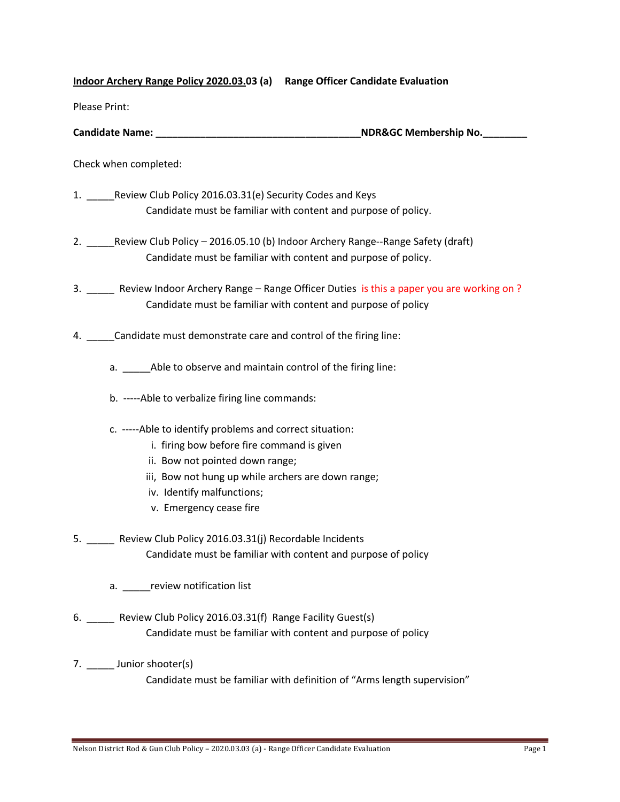## **Indoor Archery Range Policy 2020.03.03 (a) Range Officer Candidate Evaluation**

Please Print:

| <b>Candidate Name:</b> | <b>NDR&amp;GC Membership No.</b> |
|------------------------|----------------------------------|
|                        |                                  |

Check when completed:

- 1. Review Club Policy 2016.03.31(e) Security Codes and Keys Candidate must be familiar with content and purpose of policy.
- 2. \_\_\_\_\_Review Club Policy 2016.05.10 (b) Indoor Archery Range--Range Safety (draft) Candidate must be familiar with content and purpose of policy.

3. \_\_\_\_\_ Review Indoor Archery Range – Range Officer Duties is this a paper you are working on ? Candidate must be familiar with content and purpose of policy

- 4. \_\_\_\_\_Candidate must demonstrate care and control of the firing line:
	- a. \_\_\_\_\_Able to observe and maintain control of the firing line:
	- b. -----Able to verbalize firing line commands:
	- c. -----Able to identify problems and correct situation:
		- i. firing bow before fire command is given
		- ii. Bow not pointed down range;
		- iii, Bow not hung up while archers are down range;
		- iv. Identify malfunctions;
		- v. Emergency cease fire
- 5. Review Club Policy 2016.03.31(j) Recordable Incidents Candidate must be familiar with content and purpose of policy
	- a. **The review notification list**
- 6. \_\_\_\_\_ Review Club Policy 2016.03.31(f) Range Facility Guest(s) Candidate must be familiar with content and purpose of policy
- 7. Junior shooter(s) Candidate must be familiar with definition of "Arms length supervision"